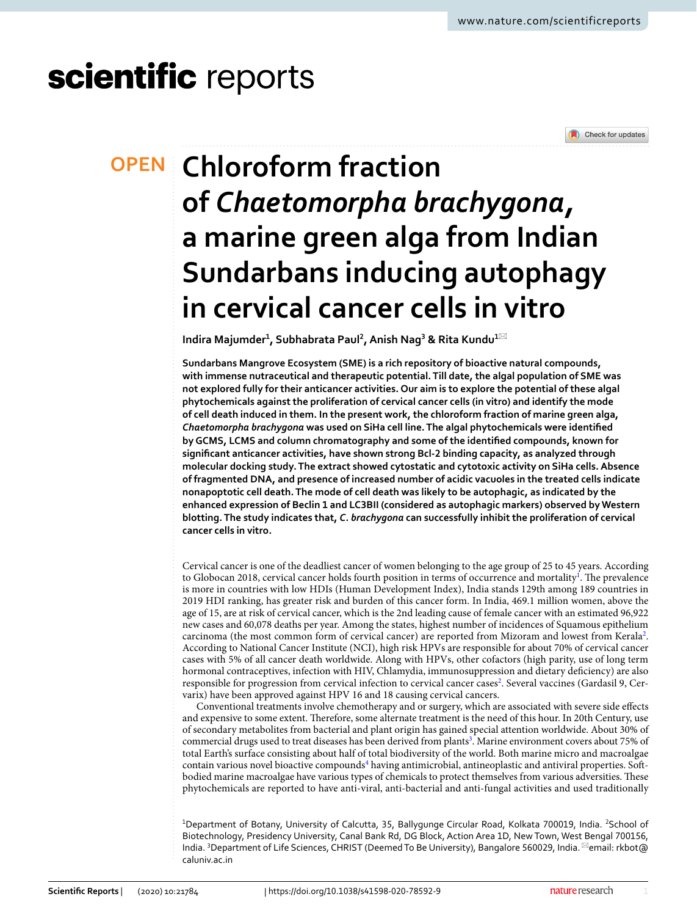# scientific reports



## **Chloroform fraction OPEN of** *Chaetomorpha brachygona,* **a marine green alga from Indian Sundarbans inducing autophagy in cervical cancer cells in vitro**

**Indira Majumder<sup>1</sup> , Subhabrata Paul<sup>2</sup> , Anish Nag<sup>3</sup> & Rita Kundu<sup>1</sup>**\*

**Sundarbans Mangrove Ecosystem (SME) is a rich repository of bioactive natural compounds, with immense nutraceutical and therapeutic potential. Till date, the algal population of SME was not explored fully for their anticancer activities. Our aim is to explore the potential of these algal phytochemicals against the proliferation of cervical cancer cells (in vitro) and identify the mode of cell death induced in them. In the present work, the chloroform fraction of marine green alga,**  *Chaetomorpha brachygona* **was used on SiHa cell line. The algal phytochemicals were identified by GCMS, LCMS and column chromatography and some of the identified compounds, known for significant anticancer activities, have shown strong Bcl-2 binding capacity, as analyzed through molecular docking study. The extract showed cytostatic and cytotoxic activity on SiHa cells. Absence of fragmented DNA, and presence of increased number of acidic vacuoles in the treated cells indicate nonapoptotic cell death. The mode of cell death was likely to be autophagic, as indicated by the enhanced expression of Beclin 1 and LC3BII (considered as autophagic markers) observed by Western blotting. The study indicates that,** *C. brachygona* **can successfully inhibit the proliferation of cervical cancer cells in vitro***.*

Cervical cancer is one of the deadliest cancer of women belonging to the age group of 25 to 45 years. According to Globocan 20[1](#page-10-0)8, cervical cancer holds fourth position in terms of occurrence and mortality<sup>1</sup>. The prevalence is more in countries with low HDIs (Human Development Index), India stands 129th among 189 countries in 2019 HDI ranking, has greater risk and burden of this cancer form. In India, 469.1 million women, above the age of 15, are at risk of cervical cancer, which is the 2nd leading cause of female cancer with an estimated 96,922 new cases and 60,078 deaths per year. Among the states, highest number of incidences of Squamous epithelium carcinoma (the most common form of cervical cancer) are reported from Mizoram and lowest from Kerala<sup>[2](#page-10-1)</sup>. According to National Cancer Institute (NCI), high risk HPVs are responsible for about 70% of cervical cancer cases with 5% of all cancer death worldwide. Along with HPVs, other cofactors (high parity, use of long term hormonal contraceptives, infection with HIV, Chlamydia, immunosuppression and dietary deficiency) are also responsible for progression from cervical infection to cervical cancer cases<sup>[2](#page-10-1)</sup>. Several vaccines (Gardasil 9, Cervarix) have been approved against HPV 16 and 18 causing cervical cancers.

Conventional treatments involve chemotherapy and or surgery, which are associated with severe side effects and expensive to some extent. Therefore, some alternate treatment is the need of this hour. In 20th Century, use of secondary metabolites from bacterial and plant origin has gained special attention worldwide. About 30% of commercial drugs used to treat diseases has been derived from plants<sup>[3](#page-10-2)</sup>. Marine environment covers about 75% of total Earth's surface consisting about half of total biodiversity of the world. Both marine micro and macroalgae contain various novel bioactive compounds<sup>[4](#page-10-3)</sup> having antimicrobial, antineoplastic and antiviral properties. Softbodied marine macroalgae have various types of chemicals to protect themselves from various adversities. These phytochemicals are reported to have anti-viral, anti-bacterial and anti-fungal activities and used traditionally

<sup>1</sup>Department of Botany, University of Calcutta, 35, Ballygunge Circular Road, Kolkata 700019, India. <sup>2</sup>School of Biotechnology, Presidency University, Canal Bank Rd, DG Block, Action Area 1D, New Town, West Bengal 700156, India. <sup>3</sup>Department of Life Sciences, CHRIST (Deemed To Be University), Bangalore 560029, India. <sup>[2]</sup>email: rkbot@ caluniv.ac.in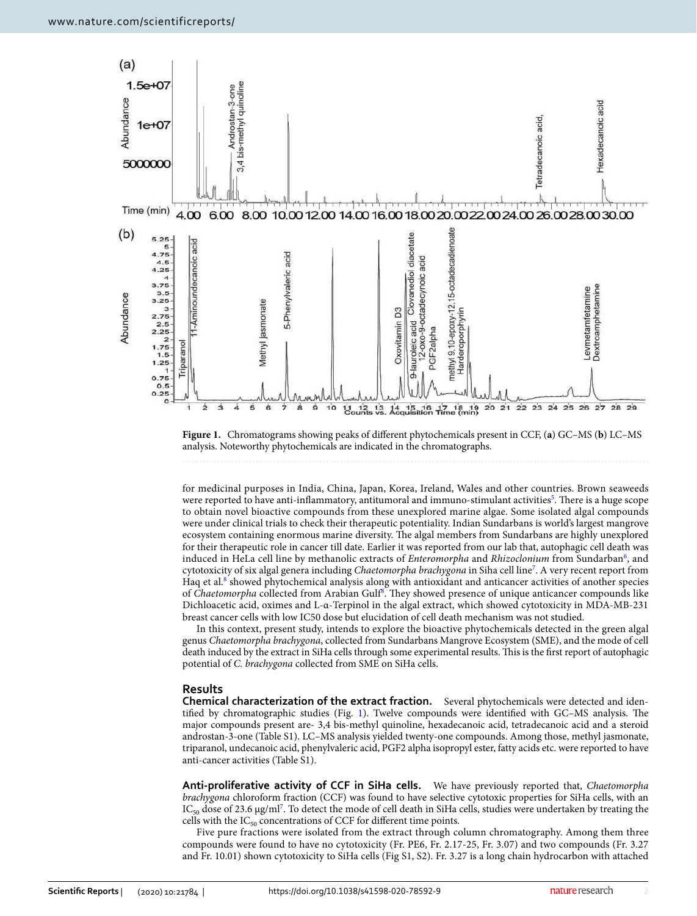

<span id="page-1-0"></span>**Figure 1.** Chromatograms showing peaks of different phytochemicals present in CCF, (**a**) GC–MS (**b**) LC–MS analysis. Noteworthy phytochemicals are indicated in the chromatographs.

for medicinal purposes in India, China, Japan, Korea, Ireland, Wales and other countries. Brown seaweeds were reported to have anti-inflammatory, antitumoral and immuno-stimulant activities<sup>[5](#page-10-4)</sup>. There is a huge scope to obtain novel bioactive compounds from these unexplored marine algae. Some isolated algal compounds were under clinical trials to check their therapeutic potentiality. Indian Sundarbans is world's largest mangrove ecosystem containing enormous marine diversity. The algal members from Sundarbans are highly unexplored for their therapeutic role in cancer till date. Earlier it was reported from our lab that, autophagic cell death was induced in HeLa cell line by methanolic extracts of *Enteromorpha* and Rhizoclonium from Sundarban<sup>[6](#page-10-5)</sup>, and cytotoxicity of six algal genera including Chaetomorpha brachygona in Siha cell line<sup>[7](#page-10-6)</sup>. A very recent report from Haq et al.<sup>[8](#page-10-7)</sup> showed phytochemical analysis along with antioxidant and anticancer activities of another species of Chaetomorpha collected from Arabian Gulf[8](#page-10-7). They showed presence of unique anticancer compounds like Dichloacetic acid, oximes and L-α-Terpinol in the algal extract, which showed cytotoxicity in MDA-MB-231 breast cancer cells with low IC50 dose but elucidation of cell death mechanism was not studied.

In this context, present study, intends to explore the bioactive phytochemicals detected in the green algal genus Chaetomorpha brachygona, collected from Sundarbans Mangrove Ecosystem (SME), and the mode of cell death induced by the extract in SiHa cells through some experimental results. This is the first report of autophagic potential of C. brachygona collected from SME on SiHa cells.

#### **Results**

**Chemical characterization of the extract fraction.** Several phytochemicals were detected and identified by chromatographic studies (Fig. [1](#page-1-0)). Twelve compounds were identified with GC–MS analysis. The major compounds present are- 3,4 bis-methyl quinoline, hexadecanoic acid, tetradecanoic acid and a steroid androstan-3-one (Table S1). LC–MS analysis yielded twenty-one compounds. Among those, methyl jasmonate, triparanol, undecanoic acid, phenylvaleric acid, PGF2 alpha isopropyl ester, fatty acids etc. were reported to have anti-cancer activities (Table S1).

**Anti-proliferative activity of CCF in SiHa cells.** We have previously reported that, Chaetomorpha brachygona chloroform fraction (CCF) was found to have selective cytotoxic properties for SiHa cells, with an IC<sub>50</sub> dose of 23.6 μg/ml<sup>[7](#page-10-6)</sup>. To detect the mode of cell death in SiHa cells, studies were undertaken by treating the cells with the  $IC_{50}$  concentrations of CCF for different time points.

Five pure fractions were isolated from the extract through column chromatography. Among them three compounds were found to have no cytotoxicity (Fr. PE6, Fr. 2.17-25, Fr. 3.07) and two compounds (Fr. 3.27 and Fr. 10.01) shown cytotoxicity to SiHa cells (Fig S1, S2). Fr. 3.27 is a long chain hydrocarbon with attached

2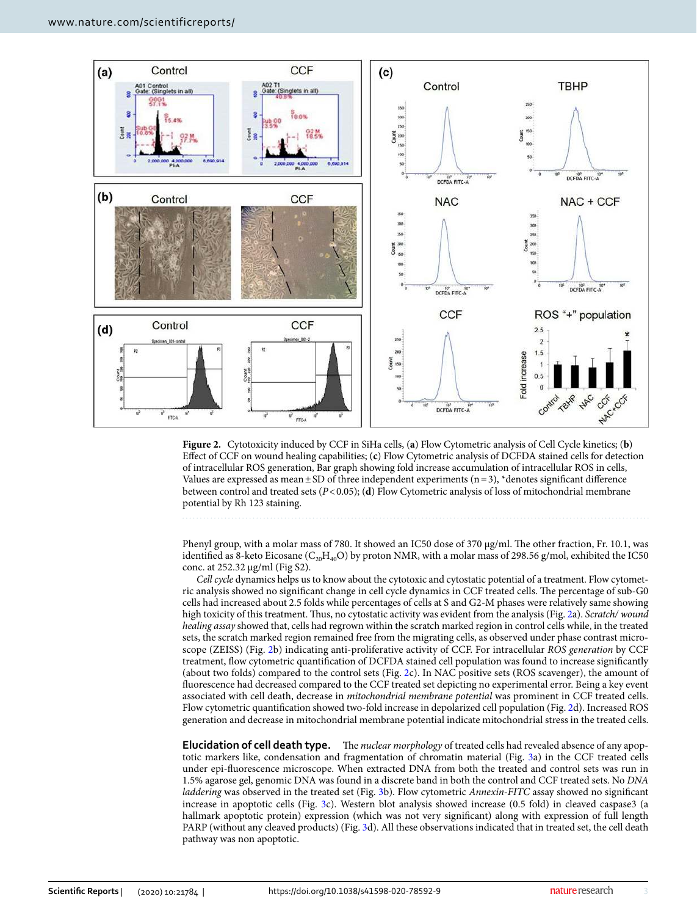

<span id="page-2-0"></span>**Figure 2.** Cytotoxicity induced by CCF in SiHa cells, (**a**) Flow Cytometric analysis of Cell Cycle kinetics; (**b**) Effect of CCF on wound healing capabilities; (**c**) Flow Cytometric analysis of DCFDA stained cells for detection of intracellular ROS generation, Bar graph showing fold increase accumulation of intracellular ROS in cells, Values are expressed as mean  $\pm$  SD of three independent experiments (n = 3), \*denotes significant difference between control and treated sets (P < 0.05); (**d**) Flow Cytometric analysis of loss of mitochondrial membrane potential by Rh 123 staining.

Phenyl group, with a molar mass of 780. It showed an IC50 dose of 370 µg/ml. The other fraction, Fr. 10.1, was identified as 8-keto Eicosane ( $C_{20}H_{40}O$ ) by proton NMR, with a molar mass of 298.56 g/mol, exhibited the IC50 conc. at 252.32 µg/ml (Fig S2).

Cell cycle dynamics helps us to know about the cytotoxic and cytostatic potential of a treatment. Flow cytometric analysis showed no significant change in cell cycle dynamics in CCF treated cells. The percentage of sub-G0 cells had increased about 2.5 folds while percentages of cells at S and G2-M phases were relatively same showing high toxicity of this treatment. Thus, no cytostatic activity was evident from the analysis (Fig. [2](#page-2-0)a). Scratch/ wound healing assay showed that, cells had regrown within the scratch marked region in control cells while, in the treated sets, the scratch marked region remained free from the migrating cells, as observed under phase contrast microscope (ZEISS) (Fig. [2b](#page-2-0)) indicating anti-proliferative activity of CCF. For intracellular ROS generation by CCF treatment, flow cytometric quantification of DCFDA stained cell population was found to increase significantly (about two folds) compared to the control sets (Fig. [2c](#page-2-0)). In NAC positive sets (ROS scavenger), the amount of fluorescence had decreased compared to the CCF treated set depicting no experimental error. Being a key event associated with cell death, decrease in mitochondrial membrane potential was prominent in CCF treated cells. Flow cytometric quantification showed two-fold increase in depolarized cell population (Fig. [2d](#page-2-0)). Increased ROS generation and decrease in mitochondrial membrane potential indicate mitochondrial stress in the treated cells.

**Elucidation of cell death type.** The nuclear morphology of treated cells had revealed absence of any apoptotic markers like, condensation and fragmentation of chromatin material (Fig. [3a](#page-3-0)) in the CCF treated cells under epi-fluorescence microscope. When extracted DNA from both the treated and control sets was run in 1.5% agarose gel, genomic DNA was found in a discrete band in both the control and CCF treated sets. No DNA laddering was observed in the treated set (Fig. [3b](#page-3-0)). Flow cytometric Annexin-FITC assay showed no significant increase in apoptotic cells (Fig. [3c](#page-3-0)). Western blot analysis showed increase (0.5 fold) in cleaved caspase3 (a hallmark apoptotic protein) expression (which was not very significant) along with expression of full length PARP (without any cleaved products) (Fig. [3d](#page-3-0)). All these observations indicated that in treated set, the cell death pathway was non apoptotic.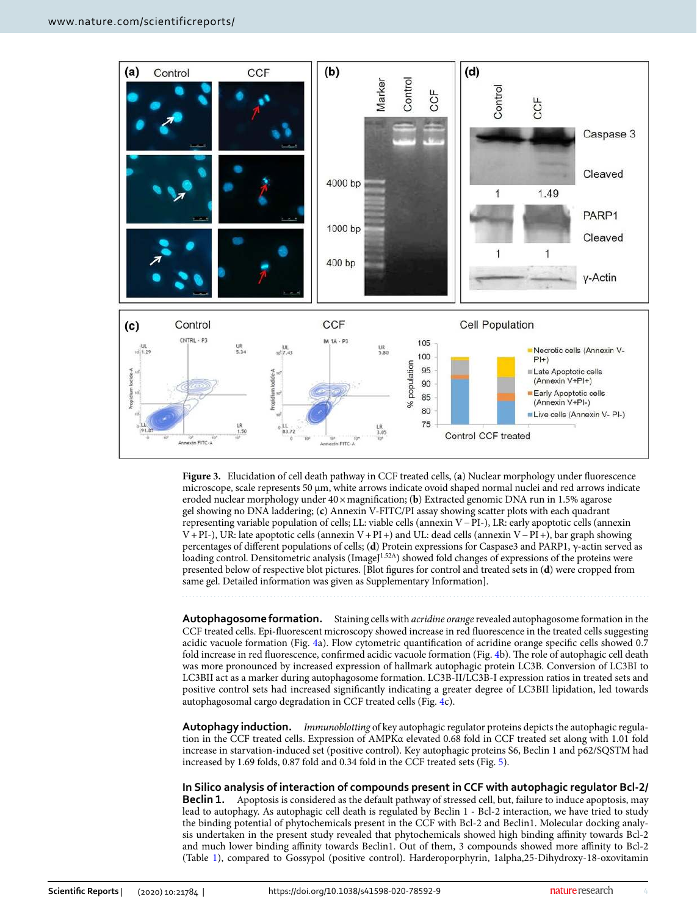

<span id="page-3-0"></span>**Figure 3.** Elucidation of cell death pathway in CCF treated cells, (**a**) Nuclear morphology under fluorescence microscope, scale represents 50 µm, white arrows indicate ovoid shaped normal nuclei and red arrows indicate eroded nuclear morphology under 40 × magnification; (**b**) Extracted genomic DNA run in 1.5% agarose gel showing no DNA laddering; (**c**) Annexin V-FITC/PI assay showing scatter plots with each quadrant representing variable population of cells; LL: viable cells (annexin V − PI-), LR: early apoptotic cells (annexin V + PI-), UR: late apoptotic cells (annexin V + PI +) and UL: dead cells (annexin V − PI +), bar graph showing percentages of different populations of cells; (**d**) Protein expressions for Caspase3 and PARP1, γ-actin served as loading control. Densitometric analysis (ImageJ<sup>1.52A</sup>) showed fold changes of expressions of the proteins were presented below of respective blot pictures. [Blot figures for control and treated sets in (**d**) were cropped from same gel. Detailed information was given as Supplementary Information].

**Autophagosome formation.** Staining cells with acridine orange revealed autophagosome formation in the CCF treated cells. Epi-fluorescent microscopy showed increase in red fluorescence in the treated cells suggesting acidic vacuole formation (Fig. [4a](#page-4-0)). Flow cytometric quantification of acridine orange specific cells showed 0.7 fold increase in red fluorescence, confirmed acidic vacuole formation (Fig. [4b](#page-4-0)). The role of autophagic cell death was more pronounced by increased expression of hallmark autophagic protein LC3B. Conversion of LC3BI to LC3BII act as a marker during autophagosome formation. LC3B-II/LC3B-I expression ratios in treated sets and positive control sets had increased significantly indicating a greater degree of LC3BII lipidation, led towards autophagosomal cargo degradation in CCF treated cells (Fig. [4c](#page-4-0)).

**Autophagy induction.** Immunoblotting of key autophagic regulator proteins depicts the autophagic regulation in the CCF treated cells. Expression of AMPKα elevated 0.68 fold in CCF treated set along with 1.01 fold increase in starvation-induced set (positive control). Key autophagic proteins S6, Beclin 1 and p62/SQSTM had increased by 1.69 folds, 0.87 fold and 0.34 fold in the CCF treated sets (Fig. [5](#page-4-1)).

**In Silico analysis of interaction of compounds present in CCF with autophagic regulator Bcl-2/ Beclin 1.** Apoptosis is considered as the default pathway of stressed cell, but, failure to induce apoptosis, may lead to autophagy. As autophagic cell death is regulated by Beclin 1 - Bcl-2 interaction, we have tried to study the binding potential of phytochemicals present in the CCF with Bcl-2 and Beclin1. Molecular docking analysis undertaken in the present study revealed that phytochemicals showed high binding affinity towards Bcl-2 and much lower binding affinity towards Beclin1. Out of them, 3 compounds showed more affinity to Bcl-2 (Table [1\)](#page-5-0), compared to Gossypol (positive control). Harderoporphyrin, 1alpha,25-Dihydroxy-18-oxovitamin

4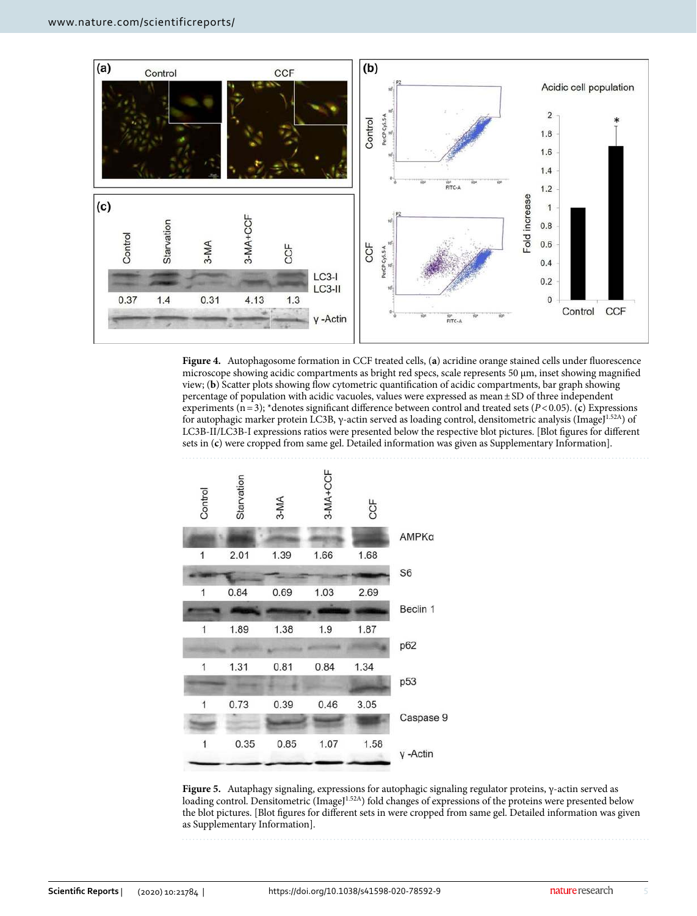

<span id="page-4-0"></span>**Figure 4.** Autophagosome formation in CCF treated cells, (**a**) acridine orange stained cells under fluorescence microscope showing acidic compartments as bright red specs, scale represents 50 µm, inset showing magnified view; (**b**) Scatter plots showing flow cytometric quantification of acidic compartments, bar graph showing percentage of population with acidic vacuoles, values were expressed as mean ± SD of three independent experiments (n = 3); \*denotes significant difference between control and treated sets (P < 0.05). (c) Expressions for autophagic marker protein LC3B, γ-actin served as loading control, densitometric analysis (ImageJ1.52A) of LC3B-II/LC3B-I expressions ratios were presented below the respective blot pictures. [Blot figures for different sets in (**c**) were cropped from same gel. Detailed information was given as Supplementary Information].



<span id="page-4-1"></span>**Figure 5.** Autaphagy signaling, expressions for autophagic signaling regulator proteins, γ-actin served as loading control. Densitometric (ImageJ<sup>1.52A</sup>) fold changes of expressions of the proteins were presented below the blot pictures. [Blot figures for different sets in were cropped from same gel. Detailed information was given as Supplementary Information].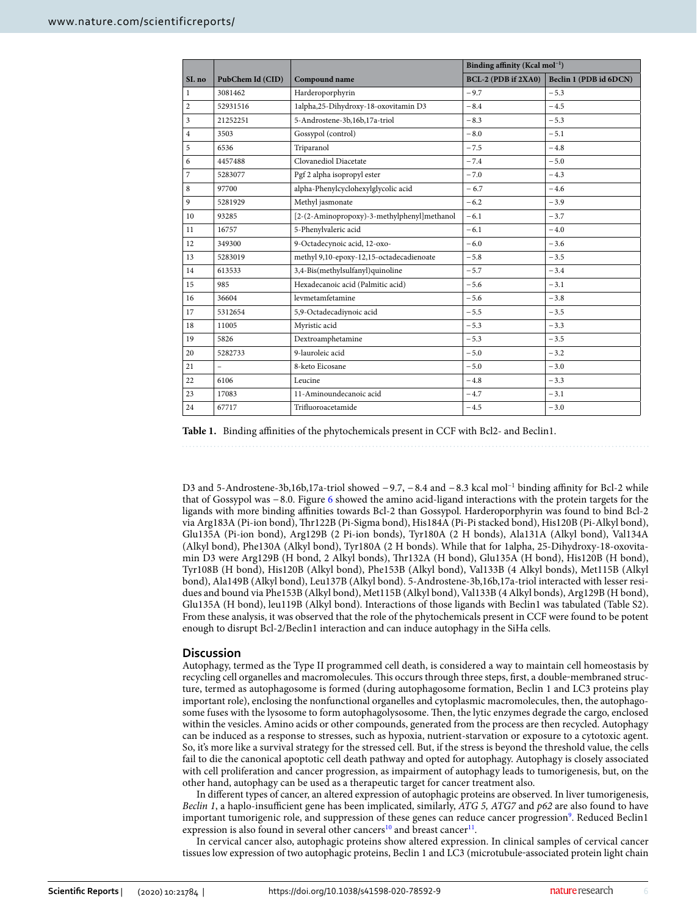|                |                          |                                             | Binding affinity (Kcal mol <sup>-1</sup> ) |                        |
|----------------|--------------------------|---------------------------------------------|--------------------------------------------|------------------------|
| SI. no         | PubChem Id (CID)         | Compound name                               | BCL-2 (PDB if 2XA0)                        | Beclin 1 (PDB id 6DCN) |
| $\mathbf{1}$   | 3081462                  | Harderoporphyrin                            | $-9.7$                                     | $-5.3$                 |
| $\overline{2}$ | 52931516                 | 1alpha,25-Dihydroxy-18-oxovitamin D3        | $-8.4$                                     | $-4.5$                 |
| 3              | 21252251                 | 5-Androstene-3b,16b,17a-triol               | $-8.3$                                     | $-5.3$                 |
| $\overline{4}$ | 3503                     | Gossypol (control)                          | $-8.0$                                     | $-5.1$                 |
| 5              | 6536                     | Triparanol                                  | $-7.5$                                     | $-4.8$                 |
| 6              | 4457488                  | Clovanediol Diacetate                       | $-7.4$                                     | $-5.0$                 |
| $\overline{7}$ | 5283077                  | Pgf 2 alpha isopropyl ester                 | $-7.0$                                     | $-4.3$                 |
| $\,$ 8 $\,$    | 97700                    | alpha-Phenylcyclohexylglycolic acid         | $-6.7$                                     | $-4.6$                 |
| 9              | 5281929                  | Methyl jasmonate                            | $-6.2$                                     | $-3.9$                 |
| 10             | 93285                    | [2-(2-Aminopropoxy)-3-methylphenyl]methanol | $-6.1$                                     | $-3.7$                 |
| 11             | 16757                    | 5-Phenylvaleric acid                        | $-6.1$                                     | $-4.0$                 |
| 12             | 349300                   | 9-Octadecynoic acid, 12-oxo-                | $-6.0$                                     | $-3.6$                 |
| 13             | 5283019                  | methyl 9,10-epoxy-12,15-octadecadienoate    | $-5.8$                                     | $-3.5$                 |
| 14             | 613533                   | 3,4-Bis(methylsulfanyl)quinoline            | $-5.7$                                     | $-3.4$                 |
| 15             | 985                      | Hexadecanoic acid (Palmitic acid)           | $-5.6$                                     | $-3.1$                 |
| 16             | 36604                    | levmetamfetamine                            | $-5.6$                                     | $-3.8$                 |
| 17             | 5312654                  | 5,9-Octadecadiynoic acid                    | $-5.5$                                     | $-3.5$                 |
| 18             | 11005                    | Myristic acid                               | $-5.3$                                     | $-3.3$                 |
| 19             | 5826                     | Dextroamphetamine                           | $-5.3$                                     | $-3.5$                 |
| 20             | 5282733                  | 9-lauroleic acid                            | $-5.0$                                     | $-3.2$                 |
| 21             | $\overline{\phantom{0}}$ | 8-keto Eicosane                             | $-5.0$                                     | $-3.0$                 |
| 22             | 6106                     | Leucine                                     | $-4.8$                                     | $-3.3$                 |
| 23             | 17083                    | 11-Aminoundecanoic acid                     | $-4.7$                                     | $-3.1$                 |
| 24             | 67717                    | Trifluoroacetamide                          | $-4.5$                                     | $-3.0$                 |

<span id="page-5-0"></span>**Table 1.** Binding affinities of the phytochemicals present in CCF with Bcl2- and Beclin1.

D3 and 5-Androstene-3b,16b,17a-triol showed −9.7, −8.4 and −8.3 kcal mol<sup>-1</sup> binding affinity for Bcl-2 while that of Gossypol was − 8.0. Figure [6](#page-6-0) showed the amino acid-ligand interactions with the protein targets for the ligands with more binding affinities towards Bcl-2 than Gossypol. Harderoporphyrin was found to bind Bcl-2 via Arg183A (Pi-ion bond), Thr122B (Pi-Sigma bond), His184A (Pi-Pi stacked bond), His120B (Pi-Alkyl bond), Glu135A (Pi-ion bond), Arg129B (2 Pi-ion bonds), Tyr180A (2 H bonds), Ala131A (Alkyl bond), Val134A (Alkyl bond), Phe130A (Alkyl bond), Tyr180A (2 H bonds). While that for 1alpha, 25-Dihydroxy-18-oxovitamin D3 were Arg129B (H bond, 2 Alkyl bonds), Thr132A (H bond), Glu135A (H bond), His120B (H bond), Tyr108B (H bond), His120B (Alkyl bond), Phe153B (Alkyl bond), Val133B (4 Alkyl bonds), Met115B (Alkyl bond), Ala149B (Alkyl bond), Leu137B (Alkyl bond). 5-Androstene-3b,16b,17a-triol interacted with lesser residues and bound via Phe153B (Alkyl bond), Met115B (Alkyl bond), Val133B (4 Alkyl bonds), Arg129B (H bond), Glu135A (H bond), leu119B (Alkyl bond). Interactions of those ligands with Beclin1 was tabulated (Table S2). From these analysis, it was observed that the role of the phytochemicals present in CCF were found to be potent enough to disrupt Bcl-2/Beclin1 interaction and can induce autophagy in the SiHa cells.

#### **Discussion**

Autophagy, termed as the Type II programmed cell death, is considered a way to maintain cell homeostasis by recycling cell organelles and macromolecules. This occurs through three steps, first, a double-membraned structure, termed as autophagosome is formed (during autophagosome formation, Beclin 1 and LC3 proteins play important role), enclosing the nonfunctional organelles and cytoplasmic macromolecules, then, the autophagosome fuses with the lysosome to form autophagolysosome. Then, the lytic enzymes degrade the cargo, enclosed within the vesicles. Amino acids or other compounds, generated from the process are then recycled. Autophagy can be induced as a response to stresses, such as hypoxia, nutrient-starvation or exposure to a cytotoxic agent. So, it's more like a survival strategy for the stressed cell. But, if the stress is beyond the threshold value, the cells fail to die the canonical apoptotic cell death pathway and opted for autophagy. Autophagy is closely associated with cell proliferation and cancer progression, as impairment of autophagy leads to tumorigenesis, but, on the other hand, autophagy can be used as a therapeutic target for cancer treatment also.

In different types of cancer, an altered expression of autophagic proteins are observed. In liver tumorigenesis, Beclin 1, a haplo-insufficient gene has been implicated, similarly, ATG 5, ATG7 and  $p62$  are also found to have important tumorigenic role, and suppression of these genes can reduce cancer progression<sup>[9](#page-10-8)</sup>. Reduced Beclin1 expression is also found in several other cancers<sup>[10](#page-10-9)</sup> and breast cancer<sup>[11](#page-10-10)</sup>.

In cervical cancer also, autophagic proteins show altered expression. In clinical samples of cervical cancer tissues low expression of two autophagic proteins, Beclin 1 and LC3 (microtubule‐associated protein light chain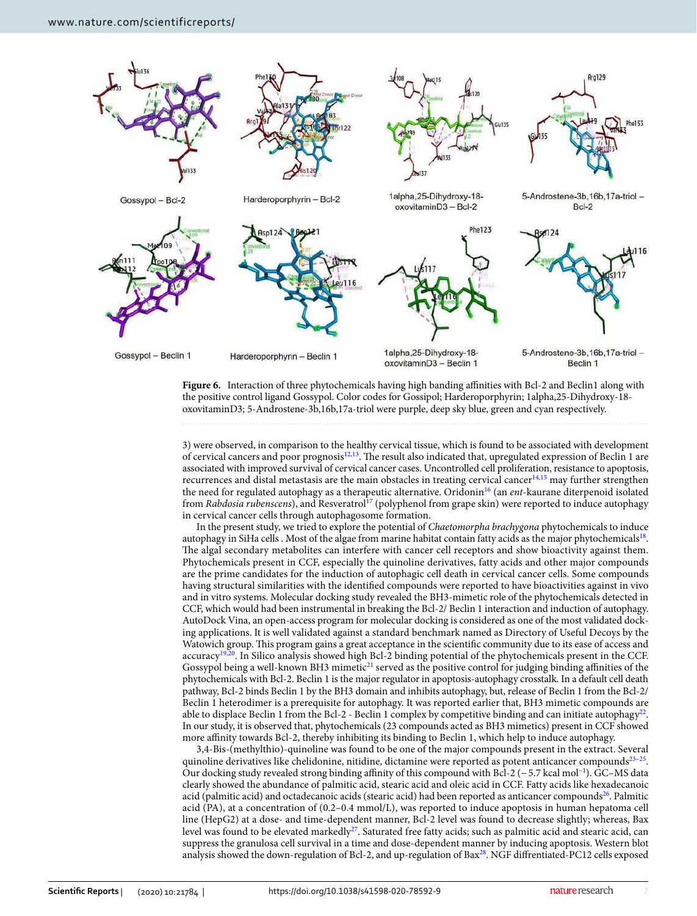

<span id="page-6-0"></span>**Figure 6.** Interaction of three phytochemicals having high banding affinities with Bcl-2 and Beclin1 along with the positive control ligand Gossypol. Color codes for Gossipol; Harderoporphyrin; 1alpha,25-Dihydroxy-18 oxovitaminD3; 5-Androstene-3b,16b,17a-triol were purple, deep sky blue, green and cyan respectively.

3) were observed, in comparison to the healthy cervical tissue, which is found to be associated with development of cervical cancers and poor prognosis[12,](#page-10-11)[13](#page-10-12). The result also indicated that, upregulated expression of Beclin 1 are associated with improved survival of cervical cancer cases. Uncontrolled cell proliferation, resistance to apoptosis, recurrences and distal metastasis are the main obstacles in treating cervical cancer<sup>[14](#page-10-13),[15](#page-10-14)</sup> may further strengthen the need for regulated autophagy as a therapeutic alternative. Oridonin<sup>[16](#page-10-15)</sup> (an ent-kaurane diterpenoid isolated from Rabdosia rubenscens), and Resveratrol<sup>[17](#page-10-16)</sup> (polyphenol from grape skin) were reported to induce autophagy in cervical cancer cells through autophagosome formation.

In the present study, we tried to explore the potential of Chaetomorpha brachygona phytochemicals to induce autophagy in SiHa cells . Most of the algae from marine habitat contain fatty acids as the major phytochemicals<sup>[18](#page-10-17)</sup>. The algal secondary metabolites can interfere with cancer cell receptors and show bioactivity against them. Phytochemicals present in CCF, especially the quinoline derivatives, fatty acids and other major compounds are the prime candidates for the induction of autophagic cell death in cervical cancer cells. Some compounds having structural similarities with the identified compounds were reported to have bioactivities against in vivo and in vitro systems. Molecular docking study revealed the BH3-mimetic role of the phytochemicals detected in CCF, which would had been instrumental in breaking the Bcl-2/ Beclin 1 interaction and induction of autophagy. AutoDock Vina, an open-access program for molecular docking is considered as one of the most validated docking applications. It is well validated against a standard benchmark named as Directory of Useful Decoys by the Watowich group. This program gains a great acceptance in the scientific community due to its ease of access and accuracy<sup>[19,](#page-10-18)[20](#page-10-19)</sup>. In Silico analysis showed high Bcl-2 binding potential of the phytochemicals present in the CCF. Gossypol being a well-known BH3 mimetic<sup>[21](#page-10-20)</sup> served as the positive control for judging binding affinities of the phytochemicals with Bcl-2. Beclin 1 is the major regulator in apoptosis-autophagy crosstalk. In a default cell death pathway, Bcl-2 binds Beclin 1 by the BH3 domain and inhibits autophagy, but, release of Beclin 1 from the Bcl-2/ Beclin 1 heterodimer is a prerequisite for autophagy. It was reported earlier that, BH3 mimetic compounds are able to displace Beclin 1 from the Bcl-2 - Beclin 1 complex by competitive binding and can initiate autophagy<sup>[22](#page-10-21)</sup>. In our study, it is observed that, phytochemicals (23 compounds acted as BH3 mimetics) present in CCF showed more affinity towards Bcl-2, thereby inhibiting its binding to Beclin 1, which help to induce autophagy.

3,4-Bis-(methylthio)-quinoline was found to be one of the major compounds present in the extract. Several quinoline derivatives like chelidonine, nitidine, dictamine were reported as potent anticancer compounds $23-25$  $23-25$ . Our docking study revealed strong binding affinity of this compound with Bcl-2 (− 5.7 kcal mol−1). GC–MS data clearly showed the abundance of palmitic acid, stearic acid and oleic acid in CCF. Fatty acids like hexadecanoic acid (palmitic acid) and octadecanoic acids (stearic acid) had been reported as anticancer compounds<sup>[26](#page-10-24)</sup>. Palmitic acid (PA), at a concentration of (0.2–0.4 mmol/L), was reported to induce apoptosis in human hepatoma cell line (HepG2) at a dose- and time-dependent manner, Bcl-2 level was found to decrease slightly; whereas, Bax level was found to be elevated markedly<sup>[27](#page-10-25)</sup>. Saturated free fatty acids; such as palmitic acid and stearic acid, can suppress the granulosa cell survival in a time and dose-dependent manner by inducing apoptosis. Western blot analysis showed the down-regulation of Bcl-2, and up-regulation of Bax<sup>[28](#page-10-26)</sup>. NGF diffrentiated-PC12 cells exposed

7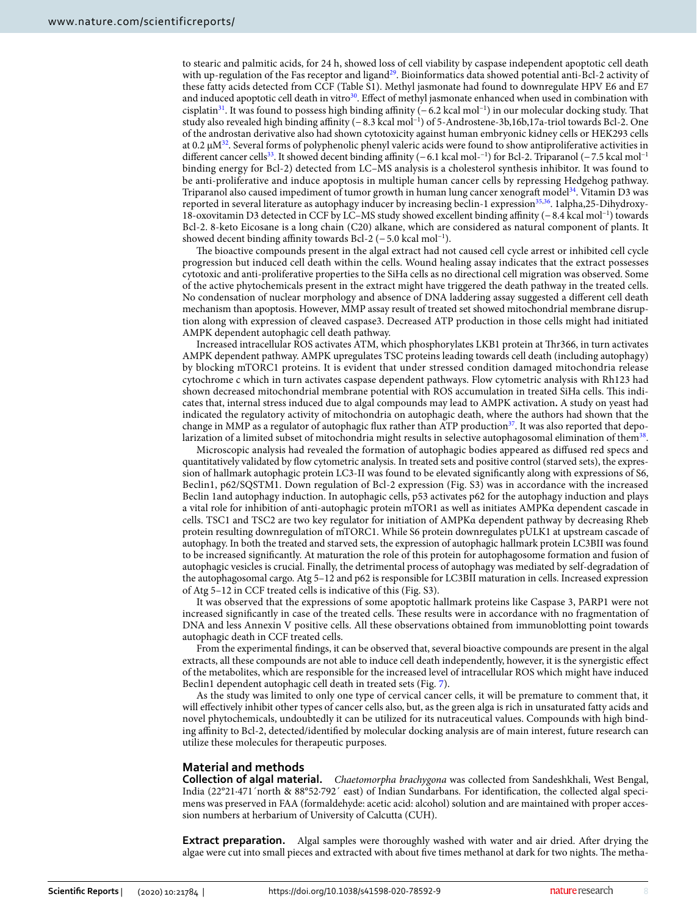to stearic and palmitic acids, for 24 h, showed loss of cell viability by caspase independent apoptotic cell death with up-regulation of the Fas receptor and ligand<sup>[29](#page-10-27)</sup>. Bioinformatics data showed potential anti-Bcl-2 activity of these fatty acids detected from CCF (Table S1). Methyl jasmonate had found to downregulate HPV E6 and E7 and induced apoptotic cell death in vitro<sup>[30](#page-10-28)</sup>. Effect of methyl jasmonate enhanced when used in combination with cisplatin[31](#page-10-29). It was found to possess high binding affinity (− 6.2 kcal mol−1) in our molecular docking study. That study also revealed high binding affinity (− 8.3 kcal mol−1) of 5-Androstene-3b,16b,17a-triol towards Bcl-2. One of the androstan derivative also had shown cytotoxicity against human embryonic kidney cells or HEK293 cells at 0.2  $\mu$ M<sup>[32](#page-10-30)</sup>. Several forms of polyphenolic phenyl valeric acids were found to show antiproliferative activities in different cancer cells<sup>[33](#page-10-31)</sup>. It showed decent binding affinity (−6.1 kcal mol-<sup>-1</sup>) for Bcl-2. Triparanol (−7.5 kcal mol<sup>-1</sup> binding energy for Bcl-2) detected from LC–MS analysis is a cholesterol synthesis inhibitor. It was found to be anti-proliferative and induce apoptosis in multiple human cancer cells by repressing Hedgehog pathway. Triparanol also caused impediment of tumor growth in human lung cancer xenograft model<sup>[34](#page-10-32)</sup>. Vitamin D3 was reported in several literature as autophagy inducer by increasing beclin-1 expression[35](#page-10-33),[36](#page-10-34). 1alpha,25-Dihydroxy-18-oxovitamin D3 detected in CCF by LC–MS study showed excellent binding affinity (− 8.4 kcal mol −1) towards Bcl-2. 8-keto Eicosane is a long chain (C20) alkane, which are considered as natural component of plants. It showed decent binding affinity towards Bcl-2 (− 5.0 kcal mol−1).

The bioactive compounds present in the algal extract had not caused cell cycle arrest or inhibited cell cycle progression but induced cell death within the cells. Wound healing assay indicates that the extract possesses cytotoxic and anti-proliferative properties to the SiHa cells as no directional cell migration was observed. Some of the active phytochemicals present in the extract might have triggered the death pathway in the treated cells. No condensation of nuclear morphology and absence of DNA laddering assay suggested a different cell death mechanism than apoptosis. However, MMP assay result of treated set showed mitochondrial membrane disruption along with expression of cleaved caspase3. Decreased ATP production in those cells might had initiated AMPK dependent autophagic cell death pathway.

Increased intracellular ROS activates ATM, which phosphorylates LKB1 protein at Thr366, in turn activates AMPK dependent pathway. AMPK upregulates TSC proteins leading towards cell death (including autophagy) by blocking mTORC1 proteins. It is evident that under stressed condition damaged mitochondria release cytochrome c which in turn activates caspase dependent pathways. Flow cytometric analysis with Rh123 had shown decreased mitochondrial membrane potential with ROS accumulation in treated SiHa cells. This indicates that, internal stress induced due to algal compounds may lead to AMPK activation**.** A study on yeast had indicated the regulatory activity of mitochondria on autophagic death, where the authors had shown that the change in MMP as a regulator of autophagic flux rather than ATP production $37$ . It was also reported that depolarization of a limited subset of mitochondria might results in selective autophagosomal elimination of them $^\mathrm{38}.$  $^\mathrm{38}.$  $^\mathrm{38}.$ 

Microscopic analysis had revealed the formation of autophagic bodies appeared as diffused red specs and quantitatively validated by flow cytometric analysis. In treated sets and positive control (starved sets), the expression of hallmark autophagic protein LC3-II was found to be elevated significantly along with expressions of S6, Beclin1, p62/SQSTM1. Down regulation of Bcl-2 expression (Fig. S3) was in accordance with the increased Beclin 1and autophagy induction. In autophagic cells, p53 activates p62 for the autophagy induction and plays a vital role for inhibition of anti-autophagic protein mTOR1 as well as initiates AMPKα dependent cascade in cells. TSC1 and TSC2 are two key regulator for initiation of AMPKα dependent pathway by decreasing Rheb protein resulting downregulation of mTORC1. While S6 protein downregulates pULK1 at upstream cascade of autophagy. In both the treated and starved sets, the expression of autophagic hallmark protein LC3BII was found to be increased significantly. At maturation the role of this protein for autophagosome formation and fusion of autophagic vesicles is crucial. Finally, the detrimental process of autophagy was mediated by self-degradation of the autophagosomal cargo. Atg 5–12 and p62 is responsible for LC3BII maturation in cells. Increased expression of Atg 5–12 in CCF treated cells is indicative of this (Fig. S3).

It was observed that the expressions of some apoptotic hallmark proteins like Caspase 3, PARP1 were not increased significantly in case of the treated cells. These results were in accordance with no fragmentation of DNA and less Annexin V positive cells. All these observations obtained from immunoblotting point towards autophagic death in CCF treated cells.

From the experimental findings, it can be observed that, several bioactive compounds are present in the algal extracts, all these compounds are not able to induce cell death independently, however, it is the synergistic effect of the metabolites, which are responsible for the increased level of intracellular ROS which might have induced Beclin1 dependent autophagic cell death in treated sets (Fig. [7](#page-8-0)).

As the study was limited to only one type of cervical cancer cells, it will be premature to comment that, it will effectively inhibit other types of cancer cells also, but, as the green alga is rich in unsaturated fatty acids and novel phytochemicals, undoubtedly it can be utilized for its nutraceutical values. Compounds with high binding affinity to Bcl-2, detected/identified by molecular docking analysis are of main interest, future research can utilize these molecules for therapeutic purposes.

### **Material and methods**

**Collection of algal material.** Chaetomorpha brachygona was collected from Sandeshkhali, West Bengal, India (22°21·471´north & 88°52·792´ east) of Indian Sundarbans. For identification, the collected algal specimens was preserved in FAA (formaldehyde: acetic acid: alcohol) solution and are maintained with proper accession numbers at herbarium of University of Calcutta (CUH).

**Extract preparation.** Algal samples were thoroughly washed with water and air dried. After drying the algae were cut into small pieces and extracted with about five times methanol at dark for two nights. The metha-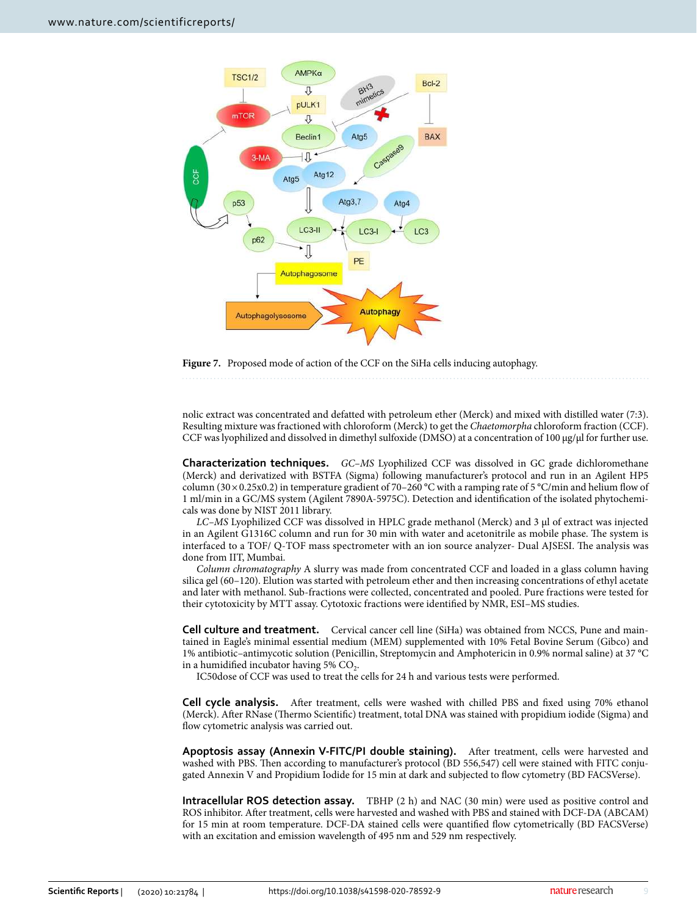

<span id="page-8-0"></span>**Figure 7.** Proposed mode of action of the CCF on the SiHa cells inducing autophagy.

nolic extract was concentrated and defatted with petroleum ether (Merck) and mixed with distilled water (7:3). Resulting mixture was fractioned with chloroform (Merck) to get the Chaetomorpha chloroform fraction (CCF). CCF was lyophilized and dissolved in dimethyl sulfoxide (DMSO) at a concentration of 100 μg/μl for further use.

**Characterization techniques.** GC–MS Lyophilized CCF was dissolved in GC grade dichloromethane (Merck) and derivatized with BSTFA (Sigma) following manufacturer's protocol and run in an Agilent HP5 column ( $30 \times 0.25 \times 0.2$ ) in temperature gradient of 70–260 °C with a ramping rate of 5 °C/min and helium flow of 1 ml/min in a GC/MS system (Agilent 7890A-5975C). Detection and identification of the isolated phytochemicals was done by NIST 2011 library.

LC–MS Lyophilized CCF was dissolved in HPLC grade methanol (Merck) and 3 µl of extract was injected in an Agilent G1316C column and run for 30 min with water and acetonitrile as mobile phase. The system is interfaced to a TOF/ Q-TOF mass spectrometer with an ion source analyzer- Dual AJSESI. The analysis was done from IIT, Mumbai.

Column chromatography A slurry was made from concentrated CCF and loaded in a glass column having silica gel (60–120). Elution was started with petroleum ether and then increasing concentrations of ethyl acetate and later with methanol. Sub-fractions were collected, concentrated and pooled. Pure fractions were tested for their cytotoxicity by MTT assay. Cytotoxic fractions were identified by NMR, ESI–MS studies.

**Cell culture and treatment.** Cervical cancer cell line (SiHa) was obtained from NCCS, Pune and maintained in Eagle's minimal essential medium (MEM) supplemented with 10% Fetal Bovine Serum (Gibco) and 1% antibiotic–antimycotic solution (Penicillin, Streptomycin and Amphotericin in 0.9% normal saline) at 37 °C in a humidified incubator having 5%  $\mathrm{CO}_2$ .

IC50dose of CCF was used to treat the cells for 24 h and various tests were performed.

**Cell cycle analysis.** After treatment, cells were washed with chilled PBS and fixed using 70% ethanol (Merck). After RNase (Thermo Scientific) treatment, total DNA was stained with propidium iodide (Sigma) and flow cytometric analysis was carried out.

**Apoptosis assay (Annexin V-FITC/PI double staining).** After treatment, cells were harvested and washed with PBS. Then according to manufacturer's protocol (BD 556,547) cell were stained with FITC conjugated Annexin V and Propidium Iodide for 15 min at dark and subjected to flow cytometry (BD FACSVerse).

**Intracellular ROS detection assay.** TBHP (2 h) and NAC (30 min) were used as positive control and ROS inhibitor. After treatment, cells were harvested and washed with PBS and stained with DCF-DA (ABCAM) for 15 min at room temperature. DCF-DA stained cells were quantified flow cytometrically (BD FACSVerse) with an excitation and emission wavelength of 495 nm and 529 nm respectively.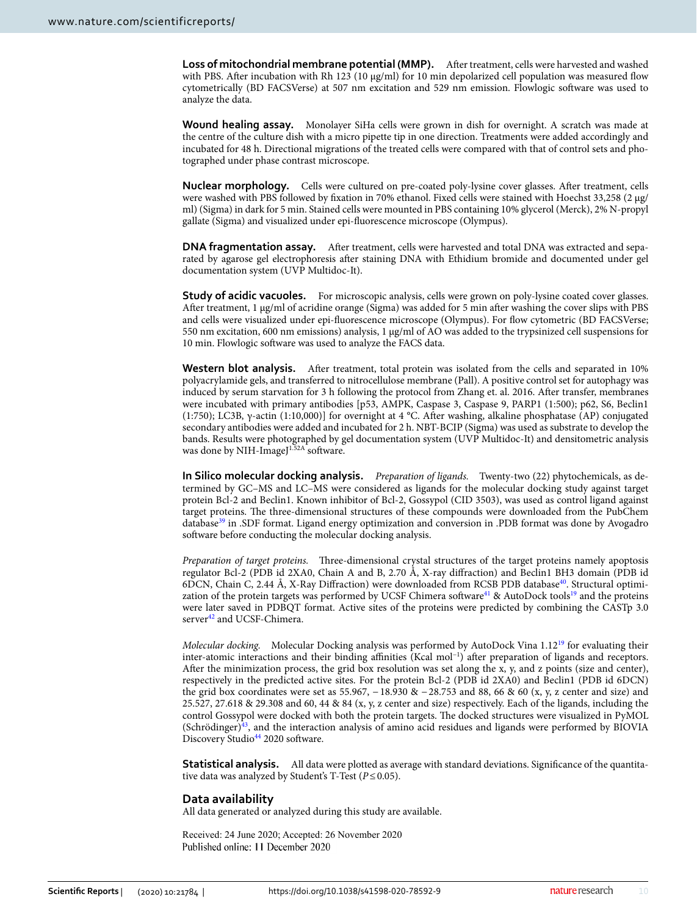**Loss of mitochondrial membrane potential (MMP).** After treatment, cells were harvested and washed with PBS. After incubation with Rh 123 (10 μg/ml) for 10 min depolarized cell population was measured flow cytometrically (BD FACSVerse) at 507 nm excitation and 529 nm emission. Flowlogic software was used to analyze the data.

**Wound healing assay.** Monolayer SiHa cells were grown in dish for overnight. A scratch was made at the centre of the culture dish with a micro pipette tip in one direction. Treatments were added accordingly and incubated for 48 h. Directional migrations of the treated cells were compared with that of control sets and photographed under phase contrast microscope.

**Nuclear morphology.** Cells were cultured on pre-coated poly-lysine cover glasses. After treatment, cells were washed with PBS followed by fixation in 70% ethanol. Fixed cells were stained with Hoechst 33,258 (2 μg/ ml) (Sigma) in dark for 5 min. Stained cells were mounted in PBS containing 10% glycerol (Merck), 2% N-propyl gallate (Sigma) and visualized under epi-fluorescence microscope (Olympus).

**DNA fragmentation assay.** After treatment, cells were harvested and total DNA was extracted and separated by agarose gel electrophoresis after staining DNA with Ethidium bromide and documented under gel documentation system (UVP Multidoc-It).

**Study of acidic vacuoles.** For microscopic analysis, cells were grown on poly-lysine coated cover glasses. After treatment, 1 μg/ml of acridine orange (Sigma) was added for 5 min after washing the cover slips with PBS and cells were visualized under epi-fluorescence microscope (Olympus). For flow cytometric (BD FACSVerse; 550 nm excitation, 600 nm emissions) analysis, 1 μg/ml of AO was added to the trypsinized cell suspensions for 10 min. Flowlogic software was used to analyze the FACS data.

**Western blot analysis.** After treatment, total protein was isolated from the cells and separated in 10% polyacrylamide gels, and transferred to nitrocellulose membrane (Pall). A positive control set for autophagy was induced by serum starvation for 3 h following the protocol from Zhang et. al. 2016. After transfer, membranes were incubated with primary antibodies [p53, AMPK, Caspase 3, Caspase 9, PARP1 (1:500); p62, S6, Beclin1 (1:750); LC3B, γ-actin (1:10,000)] for overnight at 4 °C. After washing, alkaline phosphatase (AP) conjugated secondary antibodies were added and incubated for 2 h. NBT-BCIP (Sigma) was used as substrate to develop the bands. Results were photographed by gel documentation system (UVP Multidoc-It) and densitometric analysis was done by NIH-ImageJ<sup>1.52A</sup> software.

**In Silico molecular docking analysis.** Preparation of ligands. Twenty-two (22) phytochemicals, as determined by GC–MS and LC–MS were considered as ligands for the molecular docking study against target protein Bcl-2 and Beclin1. Known inhibitor of Bcl-2, Gossypol (CID 3503), was used as control ligand against target proteins. The three-dimensional structures of these compounds were downloaded from the PubChem database<sup>[39](#page-10-37)</sup> in .SDF format. Ligand energy optimization and conversion in .PDB format was done by Avogadro software before conducting the molecular docking analysis.

Preparation of target proteins. Three-dimensional crystal structures of the target proteins namely apoptosis regulator Bcl-2 (PDB id 2XA0, Chain A and B, 2.70 Å, X-ray diffraction) and Beclin1 BH3 domain (PDB id 6DCN, Chain C, 2.44 Å, X-Ray Diffraction) were downloaded from RCSB PDB database<sup>[40](#page-10-38)</sup>. Structural optimi-zation of the protein targets was performed by UCSF Chimera software<sup>[41](#page-10-39)</sup> & AutoDock tools<sup>[19](#page-10-18)</sup> and the proteins were later saved in PDBQT format. Active sites of the proteins were predicted by combining the CASTp 3.0 server<sup>[42](#page-11-0)</sup> and UCSF-Chimera.

Molecular docking. Molecular Docking analysis was performed by AutoDock Vina 1.12[19](#page-10-18) for evaluating their inter-atomic interactions and their binding affinities (Kcal mol−1) after preparation of ligands and receptors. After the minimization process, the grid box resolution was set along the x, y, and z points (size and center), respectively in the predicted active sites. For the protein Bcl-2 (PDB id 2XA0) and Beclin1 (PDB id 6DCN) the grid box coordinates were set as 55.967, − 18.930 & − 28.753 and 88, 66 & 60 (x, y, z center and size) and 25.527, 27.618 & 29.308 and 60, 44 & 84 (x, y, z center and size) respectively. Each of the ligands, including the control Gossypol were docked with both the protein targets. The docked structures were visualized in PyMOL (Schrödinger)[43](#page-11-1), and the interaction analysis of amino acid residues and ligands were performed by BIOVIA Discovery Studio<sup>[44](#page-11-2)</sup> 2020 software.

**Statistical analysis.** All data were plotted as average with standard deviations. Significance of the quantitative data was analyzed by Student's T-Test ( $P \le 0.05$ ).

### **Data availability**

All data generated or analyzed during this study are available.

Received: 24 June 2020; Accepted: 26 November 2020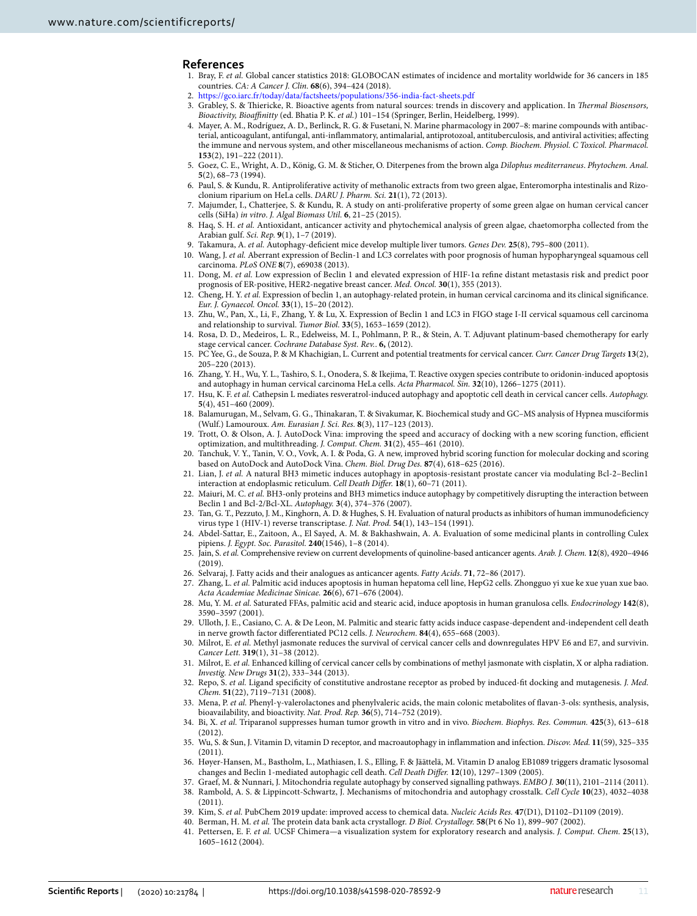#### **References**

- <span id="page-10-0"></span>1. Bray, F. et al. Global cancer statistics 2018: GLOBOCAN estimates of incidence and mortality worldwide for 36 cancers in 185 countries. CA: A Cancer J. Clin. **68**(6), 394–424 (2018).
- <span id="page-10-1"></span>2. https://gco.iarc.fr/today/data/factsheets/populations/356-india-fact-sheets.pdf
- <span id="page-10-2"></span>3. Grabley, S. & Thiericke, R. Bioactive agents from natural sources: trends in discovery and application. In Thermal Biosensors, Bioactivity, Bioaffinitty (ed. Bhatia P. K. et al.) 101-154 (Springer, Berlin, Heidelberg, 1999).
- <span id="page-10-3"></span> 4. Mayer, A. M., Rodríguez, A. D., Berlinck, R. G. & Fusetani, N. Marine pharmacology in 2007–8: marine compounds with antibacterial, anticoagulant, antifungal, anti-inflammatory, antimalarial, antiprotozoal, antituberculosis, and antiviral activities; affecting the immune and nervous system, and other miscellaneous mechanisms of action. Comp. Biochem. Physiol. C Toxicol. Pharmacol. **153**(2), 191–222 (2011).
- <span id="page-10-4"></span> 5. Goez, C. E., Wright, A. D., König, G. M. & Sticher, O. Diterpenes from the brown alga Dilophus mediterraneus. Phytochem. Anal. **5**(2), 68–73 (1994).
- <span id="page-10-5"></span> 6. Paul, S. & Kundu, R. Antiproliferative activity of methanolic extracts from two green algae, Enteromorpha intestinalis and Rizoclonium riparium on HeLa cells. DARU J. Pharm. Sci. **21**(1), 72 (2013).
- <span id="page-10-6"></span> 7. Majumder, I., Chatterjee, S. & Kundu, R. A study on anti-proliferative property of some green algae on human cervical cancer cells (SiHa) in vitro. J. Algal Biomass Util. **6**, 21–25 (2015).
- <span id="page-10-7"></span>8. Haq, S. H. et al. Antioxidant, anticancer activity and phytochemical analysis of green algae, chaetomorpha collected from the Arabian gulf. Sci. Rep. **9**(1), 1–7 (2019).
- <span id="page-10-8"></span>9. Takamura, A. et al. Autophagy-deficient mice develop multiple liver tumors. Genes Dev. **25**(8), 795–800 (2011).
- <span id="page-10-9"></span> 10. Wang, J. et al. Aberrant expression of Beclin-1 and LC3 correlates with poor prognosis of human hypopharyngeal squamous cell carcinoma. PLoS ONE **8**(7), e69038 (2013).
- <span id="page-10-10"></span> 11. Dong, M. et al. Low expression of Beclin 1 and elevated expression of HIF-1α refine distant metastasis risk and predict poor prognosis of ER-positive, HER2-negative breast cancer. Med. Oncol. **30**(1), 355 (2013).
- <span id="page-10-11"></span>12. Cheng, H. Y. et al. Expression of beclin 1, an autophagy-related protein, in human cervical carcinoma and its clinical significance. Eur. J. Gynaecol. Oncol. **33**(1), 15–20 (2012).
- <span id="page-10-12"></span> 13. Zhu, W., Pan, X., Li, F., Zhang, Y. & Lu, X. Expression of Beclin 1 and LC3 in FIGO stage I-II cervical squamous cell carcinoma and relationship to survival. Tumor Biol. **33**(5), 1653–1659 (2012).
- <span id="page-10-13"></span> 14. Rosa, D. D., Medeiros, L. R., Edelweiss, M. I., Pohlmann, P. R., & Stein, A. T. Adjuvant platinum‐based chemotherapy for early stage cervical cancer. Cochrane Database Syst. Rev.. **6,** (2012).
- <span id="page-10-14"></span> 15. PC Yee, G., de Souza, P. & M Khachigian, L. Current and potential treatments for cervical cancer. Curr. Cancer Drug Targets **13**(2), 205–220 (2013).
- <span id="page-10-15"></span> 16. Zhang, Y. H., Wu, Y. L., Tashiro, S. I., Onodera, S. & Ikejima, T. Reactive oxygen species contribute to oridonin-induced apoptosis and autophagy in human cervical carcinoma HeLa cells. Acta Pharmacol. Sin. **32**(10), 1266–1275 (2011).
- <span id="page-10-16"></span>17. Hsu, K. F. et al. Cathepsin L mediates resveratrol-induced autophagy and apoptotic cell death in cervical cancer cells. Autophagy. **5**(4), 451–460 (2009).
- <span id="page-10-17"></span> 18. Balamurugan, M., Selvam, G. G., Thinakaran, T. & Sivakumar, K. Biochemical study and GC–MS analysis of Hypnea musciformis (Wulf.) Lamouroux. Am. Eurasian J. Sci. Res. **8**(3), 117–123 (2013).
- <span id="page-10-18"></span> 19. Trott, O. & Olson, A. J. AutoDock Vina: improving the speed and accuracy of docking with a new scoring function, efficient optimization, and multithreading. J. Comput. Chem. **31**(2), 455–461 (2010).
- <span id="page-10-19"></span> 20. Tanchuk, V. Y., Tanin, V. O., Vovk, A. I. & Poda, G. A new, improved hybrid scoring function for molecular docking and scoring based on AutoDock and AutoDock Vina. Chem. Biol. Drug Des. **87**(4), 618–625 (2016).
- <span id="page-10-20"></span> 21. Lian, J. et al. A natural BH3 mimetic induces autophagy in apoptosis-resistant prostate cancer via modulating Bcl-2–Beclin1 interaction at endoplasmic reticulum. Cell Death Differ. **18**(1), 60–71 (2011).
- <span id="page-10-21"></span>22. Maiuri, M. C. et al. BH3-only proteins and BH3 mimetics induce autophagy by competitively disrupting the interaction between Beclin 1 and Bcl-2/Bcl-XL. Autophagy. **3**(4), 374–376 (2007).
- <span id="page-10-22"></span> 23. Tan, G. T., Pezzuto, J. M., Kinghorn, A. D. & Hughes, S. H. Evaluation of natural products as inhibitors of human immunodeficiency virus type 1 (HIV-1) reverse transcriptase. J. Nat. Prod. **54**(1), 143–154 (1991).
- 24. Abdel-Sattar, E., Zaitoon, A., El Sayed, A. M. & Bakhashwain, A. A. Evaluation of some medicinal plants in controlling Culex pipiens. J. Egypt. Soc. Parasitol. **240**(1546), 1–8 (2014).
- <span id="page-10-23"></span> 25. Jain, S. et al. Comprehensive review on current developments of quinoline-based anticancer agents. Arab. J. Chem. **12**(8), 4920–4946 (2019).
- <span id="page-10-24"></span>26. Selvaraj, J. Fatty acids and their analogues as anticancer agents. Fatty Acids. **71**, 72–86 (2017).
- <span id="page-10-25"></span>27. Zhang, L. et al. Palmitic acid induces apoptosis in human hepatoma cell line, HepG2 cells. Zhongguo yi xue ke xue yuan xue bao. Acta Academiae Medicinae Sinicae. **26**(6), 671–676 (2004).
- <span id="page-10-26"></span> 28. Mu, Y. M. et al. Saturated FFAs, palmitic acid and stearic acid, induce apoptosis in human granulosa cells. Endocrinology **142**(8), 3590–3597 (2001).
- <span id="page-10-27"></span> 29. Ulloth, J. E., Casiano, C. A. & De Leon, M. Palmitic and stearic fatty acids induce caspase-dependent and-independent cell death in nerve growth factor differentiated PC12 cells. J. Neurochem. **84**(4), 655–668 (2003).
- <span id="page-10-28"></span>30. Milrot, E. et al. Methyl jasmonate reduces the survival of cervical cancer cells and downregulates HPV E6 and E7, and survivin. Cancer Lett. **319**(1), 31–38 (2012).
- <span id="page-10-29"></span> 31. Milrot, E. et al. Enhanced killing of cervical cancer cells by combinations of methyl jasmonate with cisplatin, X or alpha radiation. Investig. New Drugs **31**(2), 333–344 (2013).
- <span id="page-10-30"></span>32. Repo, S. et al. Ligand specificity of constitutive androstane receptor as probed by induced-fit docking and mutagenesis. J. Med. Chem. **51**(22), 7119–7131 (2008).
- <span id="page-10-31"></span> 33. Mena, P. et al. Phenyl-γ-valerolactones and phenylvaleric acids, the main colonic metabolites of flavan-3-ols: synthesis, analysis, bioavailability, and bioactivity. Nat. Prod. Rep. **36**(5), 714–752 (2019).
- <span id="page-10-32"></span> 34. Bi, X. et al. Triparanol suppresses human tumor growth in vitro and in vivo. Biochem. Biophys. Res. Commun. **425**(3), 613–618 (2012).
- <span id="page-10-33"></span> 35. Wu, S. & Sun, J. Vitamin D, vitamin D receptor, and macroautophagy in inflammation and infection. Discov. Med. **11**(59), 325–335 (2011).
- <span id="page-10-34"></span> 36. Høyer-Hansen, M., Bastholm, L., Mathiasen, I. S., Elling, F. & Jäättelä, M. Vitamin D analog EB1089 triggers dramatic lysosomal changes and Beclin 1-mediated autophagic cell death. Cell Death Differ. **12**(10), 1297–1309 (2005).
- <span id="page-10-36"></span><span id="page-10-35"></span> 37. Graef, M. & Nunnari, J. Mitochondria regulate autophagy by conserved signalling pathways. EMBO J. **30**(11), 2101–2114 (2011). 38. Rambold, A. S. & Lippincott-Schwartz, J. Mechanisms of mitochondria and autophagy crosstalk. Cell Cycle **10**(23), 4032–4038 (2011).
- <span id="page-10-37"></span>39. Kim, S. et al. PubChem 2019 update: improved access to chemical data. Nucleic Acids Res. **47**(D1), D1102–D1109 (2019).
- <span id="page-10-38"></span>40. Berman, H. M. et al. The protein data bank acta crystallogr. D Biol. Crystallogr. **58**(Pt 6 No 1), 899–907 (2002).
- <span id="page-10-39"></span> 41. Pettersen, E. F. et al. UCSF Chimera—a visualization system for exploratory research and analysis. J. Comput. Chem. **25**(13), 1605–1612 (2004).